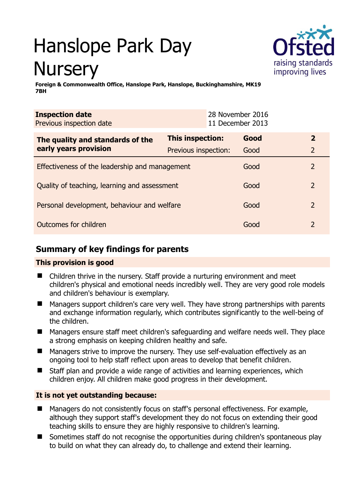# Hanslope Park Day **Nursery**



**Foreign & Commonwealth Office, Hanslope Park, Hanslope, Buckinghamshire, MK19 7BH** 

| <b>Inspection date</b><br>Previous inspection date        |                      | 28 November 2016<br>11 December 2013 |      |                |
|-----------------------------------------------------------|----------------------|--------------------------------------|------|----------------|
| The quality and standards of the<br>early years provision | This inspection:     |                                      | Good | $\mathbf{2}$   |
|                                                           | Previous inspection: |                                      | Good | $\overline{2}$ |
| Effectiveness of the leadership and management            |                      |                                      | Good | 2              |
| Quality of teaching, learning and assessment              |                      |                                      | Good | $\overline{2}$ |
| Personal development, behaviour and welfare               |                      |                                      | Good | 2              |
| Outcomes for children                                     |                      |                                      | Good | 2              |

# **Summary of key findings for parents**

## **This provision is good**

- Children thrive in the nursery. Staff provide a nurturing environment and meet children's physical and emotional needs incredibly well. They are very good role models and children's behaviour is exemplary.
- Managers support children's care very well. They have strong partnerships with parents and exchange information regularly, which contributes significantly to the well-being of the children.
- Managers ensure staff meet children's safeguarding and welfare needs well. They place a strong emphasis on keeping children healthy and safe.
- Managers strive to improve the nursery. They use self-evaluation effectively as an ongoing tool to help staff reflect upon areas to develop that benefit children.
- Staff plan and provide a wide range of activities and learning experiences, which children enjoy. All children make good progress in their development.

# **It is not yet outstanding because:**

- Managers do not consistently focus on staff's personal effectiveness. For example, although they support staff's development they do not focus on extending their good teaching skills to ensure they are highly responsive to children's learning.
- Sometimes staff do not recognise the opportunities during children's spontaneous play to build on what they can already do, to challenge and extend their learning.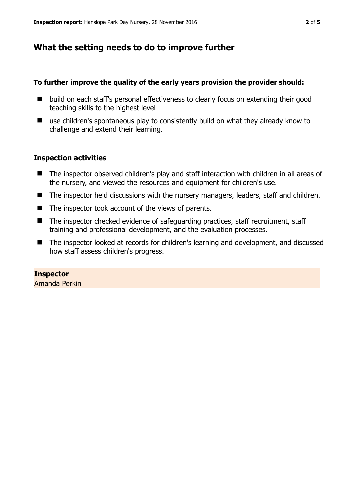# **What the setting needs to do to improve further**

### **To further improve the quality of the early years provision the provider should:**

- build on each staff's personal effectiveness to clearly focus on extending their good teaching skills to the highest level
- use children's spontaneous play to consistently build on what they already know to challenge and extend their learning.

### **Inspection activities**

- The inspector observed children's play and staff interaction with children in all areas of the nursery, and viewed the resources and equipment for children's use.
- The inspector held discussions with the nursery managers, leaders, staff and children.
- $\blacksquare$  The inspector took account of the views of parents.
- The inspector checked evidence of safeguarding practices, staff recruitment, staff training and professional development, and the evaluation processes.
- The inspector looked at records for children's learning and development, and discussed how staff assess children's progress.

# **Inspector**

Amanda Perkin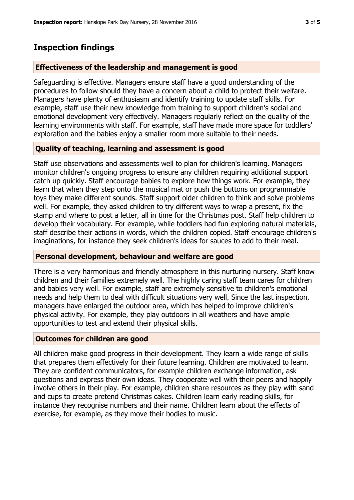# **Inspection findings**

### **Effectiveness of the leadership and management is good**

Safeguarding is effective. Managers ensure staff have a good understanding of the procedures to follow should they have a concern about a child to protect their welfare. Managers have plenty of enthusiasm and identify training to update staff skills. For example, staff use their new knowledge from training to support children's social and emotional development very effectively. Managers regularly reflect on the quality of the learning environments with staff. For example, staff have made more space for toddlers' exploration and the babies enjoy a smaller room more suitable to their needs.

### **Quality of teaching, learning and assessment is good**

Staff use observations and assessments well to plan for children's learning. Managers monitor children's ongoing progress to ensure any children requiring additional support catch up quickly. Staff encourage babies to explore how things work. For example, they learn that when they step onto the musical mat or push the buttons on programmable toys they make different sounds. Staff support older children to think and solve problems well. For example, they asked children to try different ways to wrap a present, fix the stamp and where to post a letter, all in time for the Christmas post. Staff help children to develop their vocabulary. For example, while toddlers had fun exploring natural materials, staff describe their actions in words, which the children copied. Staff encourage children's imaginations, for instance they seek children's ideas for sauces to add to their meal.

### **Personal development, behaviour and welfare are good**

There is a very harmonious and friendly atmosphere in this nurturing nursery. Staff know children and their families extremely well. The highly caring staff team cares for children and babies very well. For example, staff are extremely sensitive to children's emotional needs and help them to deal with difficult situations very well. Since the last inspection, managers have enlarged the outdoor area, which has helped to improve children's physical activity. For example, they play outdoors in all weathers and have ample opportunities to test and extend their physical skills.

### **Outcomes for children are good**

All children make good progress in their development. They learn a wide range of skills that prepares them effectively for their future learning. Children are motivated to learn. They are confident communicators, for example children exchange information, ask questions and express their own ideas. They cooperate well with their peers and happily involve others in their play. For example, children share resources as they play with sand and cups to create pretend Christmas cakes. Children learn early reading skills, for instance they recognise numbers and their name. Children learn about the effects of exercise, for example, as they move their bodies to music.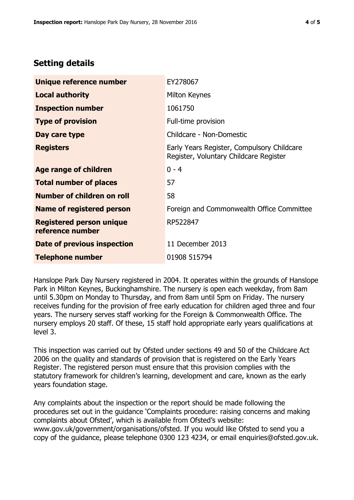# **Setting details**

| Unique reference number                             | EY278067                                                                             |  |  |
|-----------------------------------------------------|--------------------------------------------------------------------------------------|--|--|
| <b>Local authority</b>                              | Milton Keynes                                                                        |  |  |
| <b>Inspection number</b>                            | 1061750                                                                              |  |  |
| <b>Type of provision</b>                            | Full-time provision                                                                  |  |  |
| Day care type                                       | Childcare - Non-Domestic                                                             |  |  |
| <b>Registers</b>                                    | Early Years Register, Compulsory Childcare<br>Register, Voluntary Childcare Register |  |  |
| Age range of children                               | $0 - 4$                                                                              |  |  |
| <b>Total number of places</b>                       | 57                                                                                   |  |  |
| Number of children on roll                          | 58                                                                                   |  |  |
| Name of registered person                           | Foreign and Commonwealth Office Committee                                            |  |  |
| <b>Registered person unique</b><br>reference number | RP522847                                                                             |  |  |
| Date of previous inspection                         | 11 December 2013                                                                     |  |  |
| <b>Telephone number</b>                             | 01908 515794                                                                         |  |  |

Hanslope Park Day Nursery registered in 2004. It operates within the grounds of Hanslope Park in Milton Keynes, Buckinghamshire. The nursery is open each weekday, from 8am until 5.30pm on Monday to Thursday, and from 8am until 5pm on Friday. The nursery receives funding for the provision of free early education for children aged three and four years. The nursery serves staff working for the Foreign & Commonwealth Office. The nursery employs 20 staff. Of these, 15 staff hold appropriate early years qualifications at level 3.

This inspection was carried out by Ofsted under sections 49 and 50 of the Childcare Act 2006 on the quality and standards of provision that is registered on the Early Years Register. The registered person must ensure that this provision complies with the statutory framework for children's learning, development and care, known as the early years foundation stage.

Any complaints about the inspection or the report should be made following the procedures set out in the guidance 'Complaints procedure: raising concerns and making complaints about Ofsted', which is available from Ofsted's website: www.gov.uk/government/organisations/ofsted. If you would like Ofsted to send you a copy of the guidance, please telephone 0300 123 4234, or email enquiries@ofsted.gov.uk.